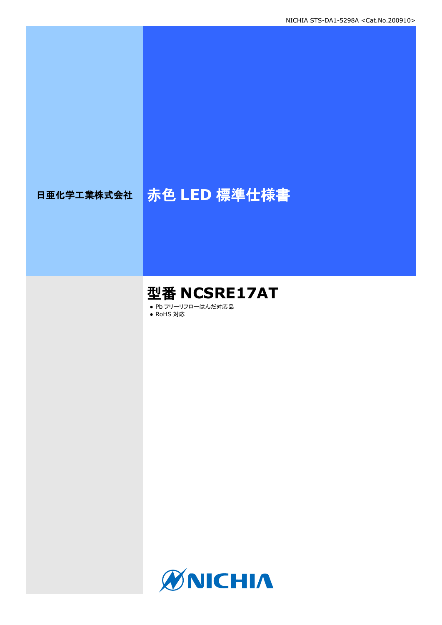# 日亜化学工業株式会社 <mark>赤色 LED 標準仕様書</mark>

# 型番 **NCSRE17AT**

● Pb フリーリフローはんだ対応品

● RoHS 対応

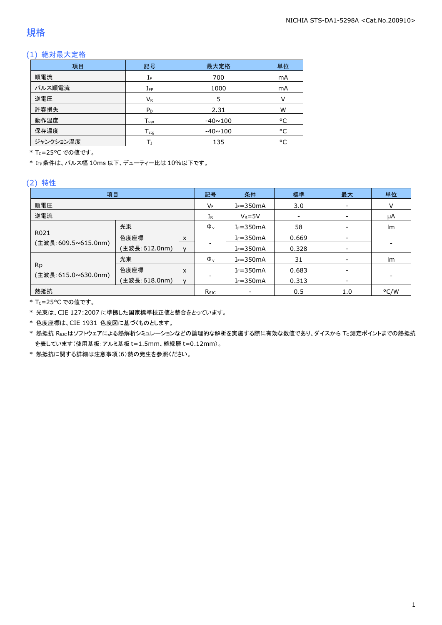### 規格

### (1) 絶対最大定格

| 項目        | 記号                 | 最大定格           | 単位 |
|-----------|--------------------|----------------|----|
| 順電流       | IF                 | 700            | mA |
| パルス順電流    | $I_{FP}$           | 1000           | mA |
| 逆電圧       | $V_{R}$            |                | v  |
| 許容損失      | $P_D$              | 2.31           | W  |
| 動作温度      | $T_{\mathsf{opr}}$ | $-40 \sim 100$ | °C |
| 保存温度      | $T_{\rm stq}$      | $-40 \sim 100$ | °C |
| ジャンクション温度 |                    | 135            | °C |

\* Tc=25°C での値です。

\* IFP条件は、パルス幅 10ms 以下、デューティー比は 10%以下です。

#### (2) 特性

| 項目                  |               | 記号           | 条件             | 標準             | 最大    | 単位                       |      |
|---------------------|---------------|--------------|----------------|----------------|-------|--------------------------|------|
| 順電圧                 |               | VF           | $I_F = 350mA$  | 3.0            |       | v                        |      |
| 逆電流                 |               | IR           | $V_R = 5V$     | $\overline{a}$ |       | μA                       |      |
|                     | 光束            |              | $\Phi_{v}$     | $I_F = 350mA$  | 58    |                          | Im   |
| R021                | 色度座標          | x            |                | $I_F = 350mA$  | 0.669 |                          |      |
| (主波長:609.5~615.0nm) | (主波長:612.0nm) | $\mathsf{V}$ |                | $I_F = 350mA$  | 0.328 | $\overline{\phantom{a}}$ |      |
|                     | 光束            |              | $\Phi_{v}$     | $I_F = 350mA$  | 31    |                          | Im   |
| <b>Rp</b>           | 色度座標          | x            |                | $I_F = 350mA$  | 0.683 |                          |      |
| (主波長:615.0~630.0nm) | (主波長:618.0nm) | $\mathsf{V}$ |                | $I_F = 350mA$  | 0.313 | $\overline{\phantom{a}}$ |      |
| 熱抵抗                 |               |              | $R_{\theta$ JC |                | 0.5   | 1.0                      | °C/W |

\* TC=25°C での値です。

\* 光束は、CIE 127:2007 に準拠した国家標準校正値と整合をとっています。

\* 色度座標は、CIE 1931 色度図に基づくものとします。

\* 熱抵抗 Rejcはソフトウェアによる熱解析シミュレーションなどの論理的な解析を実施する際に有効な数値であり、ダイスから Tc測定ポイントまでの熱抵抗 を表しています(使用基板:アルミ基板 t=1.5mm、絶縁層 t=0.12mm)。

\* 熱抵抗に関する詳細は注意事項(6)熱の発生を参照ください。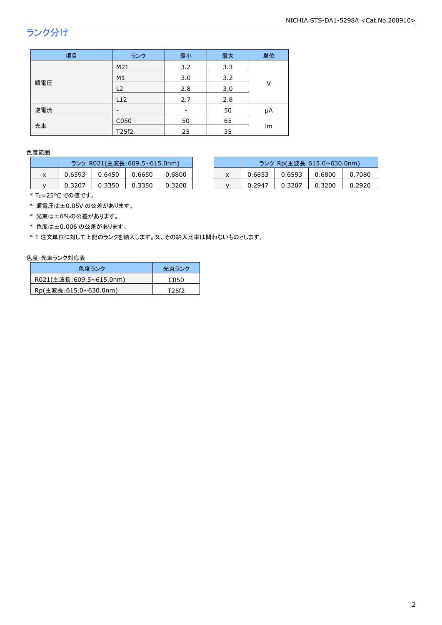## ランク分け

| 項目  | ランク            | 最小                       | 最大  | 単位 |  |
|-----|----------------|--------------------------|-----|----|--|
|     | M21            | 3.2                      | 3.3 |    |  |
|     | M <sub>1</sub> | 3.0                      | 3.2 |    |  |
| 順電圧 | L2             | 2.8                      | 3.0 | V  |  |
|     | L12            | 2.7                      | 2.8 |    |  |
| 逆電流 |                | $\overline{\phantom{0}}$ | 50  | μA |  |
|     | C050           | 50                       | 65  |    |  |
| 光束  | T25f2          | 25                       | 35  | lm |  |

#### 色度範囲

|   | ランク R021(主波長:609.5~615.0nm) |        |        |        |  |  |  |
|---|-----------------------------|--------|--------|--------|--|--|--|
| x | በ 6593                      | 0.6450 | 0.6650 | 0.6800 |  |  |  |
|   | 0.3207                      | 0.3350 | 0.3350 | 0.3200 |  |  |  |

|   | ランク R021(主波長:609.5~615.0nm) |        |        |        |  | ランク Rp(主波長:615.0~630.0nm) |        |        |        |
|---|-----------------------------|--------|--------|--------|--|---------------------------|--------|--------|--------|
| ^ | 0.6593                      | 0.6450 | 0.6650 | 0.6800 |  | 0.6853                    | 0.6593 | 0.6800 | 0.7080 |
|   | 0.3207                      | 0.3350 | 0.3350 | 0.3200 |  | 0.2947                    | 0.3207 | 0.3200 | 0.2920 |

\* Tc=25°C での値です。

\* 順電圧は±0.05V の公差があります。

\* 光束は±6%の公差があります。

\* 色度は±0.006 の公差があります。

\* 1 注文単位に対して上記のランクを納入します。又、その納入比率は問わないものとします。

#### 色度-光束ランク対応表

| 色度ランク                   | 光東ランク            |
|-------------------------|------------------|
| R021(主波長:609.5~615.0nm) | C <sub>050</sub> |
| Rp(主波長:615.0~630.0nm)   | T25f2            |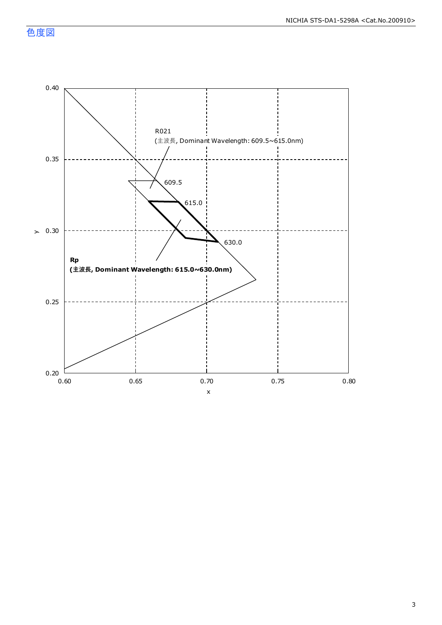色度図



3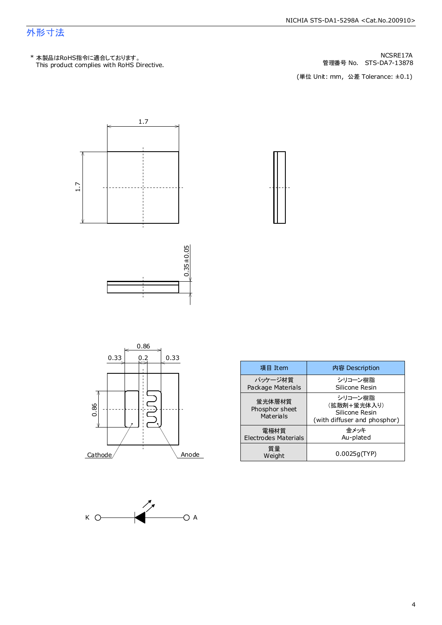### 外形寸法

管理番号 No. STS-DA7-13878 NCSRE17A

(単位 Unit: mm) (単位 Unit: mm, 公差 Tolerance: ±0.1)







| 項目 Item                               | 内容 Description                                                           |  |  |
|---------------------------------------|--------------------------------------------------------------------------|--|--|
| パッケージ材質<br>Package Materials          | シリコーン樹脂<br>Silicone Resin                                                |  |  |
| 蛍光体層材質<br>Phosphor sheet<br>Materials | シリコーン樹脂<br>(拡散剤+蛍光体入り)<br>Silicone Resin<br>(with diffuser and phosphor) |  |  |
| 雷極材質<br>Electrodes Materials          | 余メッキ<br>Au-plated                                                        |  |  |
| 質量<br>Weight                          | 0.0025q(TYP)                                                             |  |  |



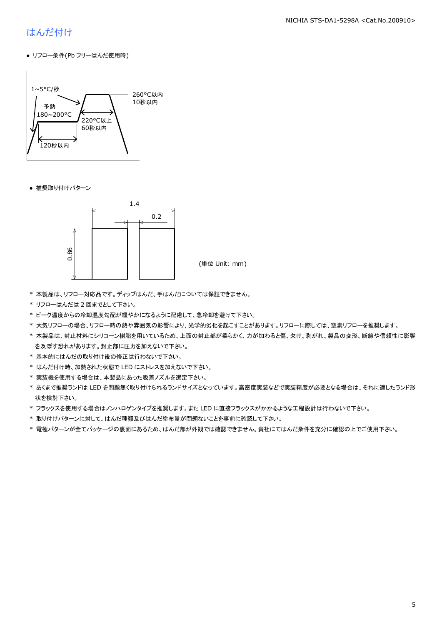#### NICHIA STS-DA1-5298A <Cat.No.200910>

### はんだ付け

● リフロー条件(Pb フリーはんだ使用時)



● 推奨取り付けパターン



(単位 Unit: mm)

- \* 本製品は、リフロー対応品です。ディップはんだ、手はんだについては保証できません。
- \* リフローはんだは 2 回までとして下さい。
- \* ピーク温度からの冷却温度勾配が緩やかになるように配慮して、急冷却を避けて下さい。
- \* 大気リフローの場合、リフロー時の熱や雰囲気の影響により、光学的劣化を起こすことがあります。リフローに際しては、窒素リフローを推奨します。
- \* 本製品は、封止材料にシリコーン樹脂を用いているため、上面の封止部が柔らかく、力が加わると傷、欠け、剥がれ、製品の変形、断線や信頼性に影響 を及ぼす恐れがあります。封止部に圧力を加えないで下さい。
- \* 基本的にはんだの取り付け後の修正は行わないで下さい。
- \* はんだ付け時、加熱された状態で LED にストレスを加えないで下さい。
- \* 実装機を使用する場合は、本製品にあった吸着ノズルを選定下さい。
- \* あくまで推奨ランドは LED を問題無く取り付けられるランドサイズとなっています。高密度実装などで実装精度が必要となる場合は、それに適したランド形 状を検討下さい。
- \* フラックスを使用する場合はノンハロゲンタイプを推奨します。また LED に直接フラックスがかかるような工程設計は行わないで下さい。
- \* 取り付けパターンに対して、はんだ種類及びはんだ塗布量が問題ないことを事前に確認して下さい。
- \* 電極パターンが全てパッケージの裏面にあるため、はんだ部が外観では確認できません。貴社にてはんだ条件を充分に確認の上でご使用下さい。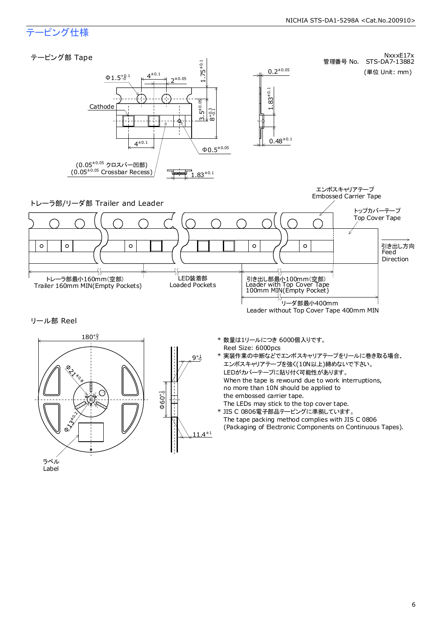#### NICHIA STS-DA1-5298A <Cat.No.200910>

### テーピング仕様



6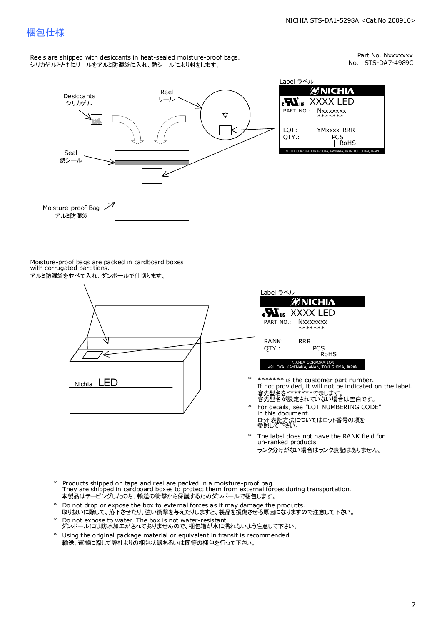### 梱包仕様

Reels are shipped with desiccants in heat-sealed moisture-proof bags. シリカゲルとともにリールをアルミ防湿袋に入れ、熱シールにより封をします。

No. STS-DA7-4989C Part No. Nxxxxxxx



Label ラベル йNICHI∧ XXXX LED **Nxxxxxxx** \*\*\*\*\*\*\* YMxxxx-RRR PCS<br>RoHS NICHIA CORPORATION 491 OKA, KAMINAKA, ANAN, TOKUSHIMA, JAPAN

Moisture-proof bags are packed in cardboard boxes with corrugated partitions. アルミ防湿袋を並べて入れ、ダンボールで仕切ります。





- 客先型名を\*\*\*\*\*\*\*\*で示します。<br>客先型名が設定されていない場合は空白です。 If not provided, it will not be indicated on the label. \*\*\*\*\*\*\* is the customer part number.
- For details, see "LOT NUMBERING CODE" in this document. ロット表記方法についてはロット番号の項を<br>参照して下さい。 \*
- The label does not have the RANK field for un-ranked products. ランク分けがない場合はランク表記はありません。 \*
- Products shipped on tape and reel are packed in a moisture-proof bag. They are shipped in cardboard boxes to protect them from external forces during transportation. 本製品はテーピングしたのち、輸送の衝撃から保護するためダンボールで梱包します。 \*
- Do not drop or expose the box to external forces as it may damage the products. 取り扱いに際して、落下させたり、強い衝撃を与えたりしますと、製品を損傷させる原因になりますので注意して下さい。 \*
- Do not expose to water. The box is not water-resistant. ダンボールには防水加工がされておりませんので、梱包箱が水に濡れないよう注意して下さい。 \*
- \* Using the original package material or equivalent in transit is recommended. 輸送、運搬に際して弊社よりの梱包状態あるいは同等の梱包を行って下さい。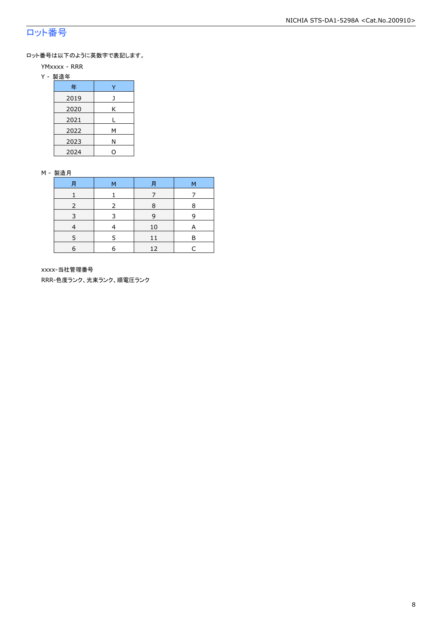### ロット番号

ロット番号は以下のように英数字で表記します。

- YMxxxx RRR
- Y 製造年

| 年    |   |
|------|---|
| 2019 |   |
| 2020 | Κ |
| 2021 |   |
| 2022 | м |
| 2023 | Ν |
| 2024 |   |

#### M - 製造月

| 月 | м | 月  | М |
|---|---|----|---|
|   |   |    |   |
|   |   | 8  | 8 |
| 3 | २ | 9  | q |
|   |   | 10 | A |
|   | ᄃ | 11 | в |
| 6 | 6 | 12 |   |

xxxx-当社管理番号

RRR-色度ランク、光束ランク、順電圧ランク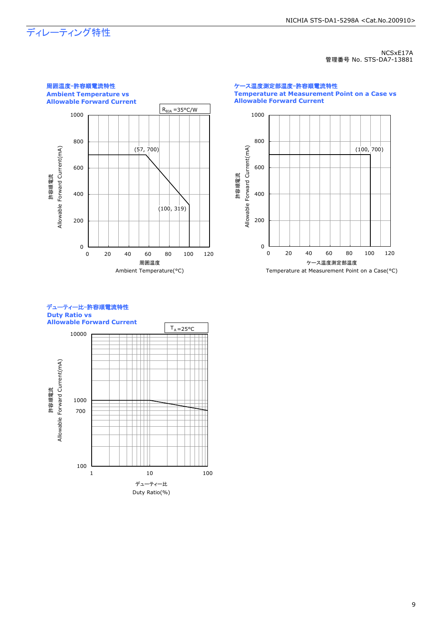## ディレーティング特性

NCSxE17A 管理番号 No. STS-DA7-13881



ケース温度測定部温度-許容順電流特性 **Temperature at Measurement Point on a Case vs Allowable Forward Current**





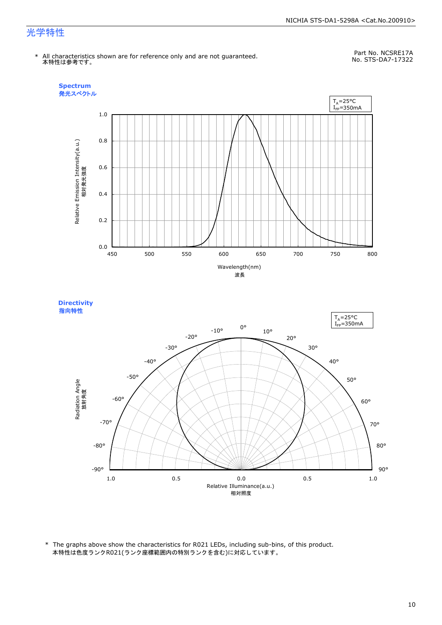#### NICHIA STS-DA1-5298A <Cat.No.200910>

### 光学特性

\* All characteristics shown are for reference only and are not guaranteed. 本特性は参考です。

Part No. NCSRE17A No. STS-DA7-17322





\* The graphs above show the characteristics for R021 LEDs, including sub-bins, of this product. 本特性は色度ランクR021(ランク座標範囲内の特別ランクを含む)に対応しています。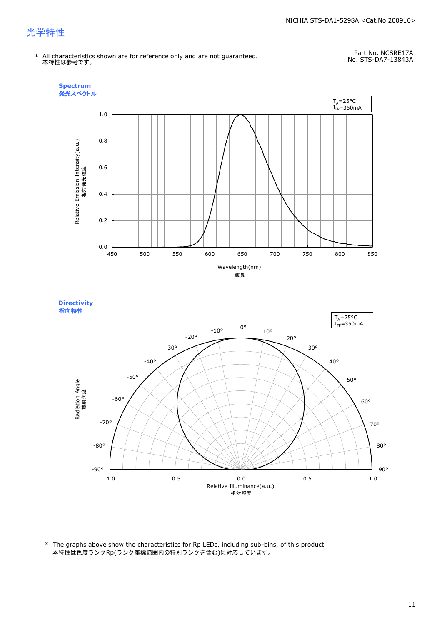#### NICHIA STS-DA1-5298A <Cat.No.200910>

### 光学特性

\* All characteristics shown are for reference only and are not guaranteed. 本特性は参考です。

Part No. NCSRE17A No. STS-DA7-13843A





\* The graphs above show the characteristics for Rp LEDs, including sub-bins, of this product. 本特性は色度ランクRp(ランク座標範囲内の特別ランクを含む)に対応しています。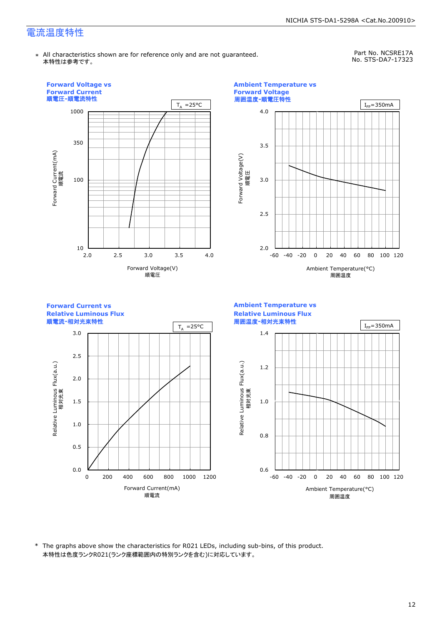\* All characteristics shown are for reference only and are not guaranteed. 本特性は参考です。

Part No. NCSRE17A No. STS-DA7-17323



\* The graphs above show the characteristics for R021 LEDs, including sub-bins, of this product. 本特性は色度ランクR021(ランク座標範囲内の特別ランクを含む)に対応しています。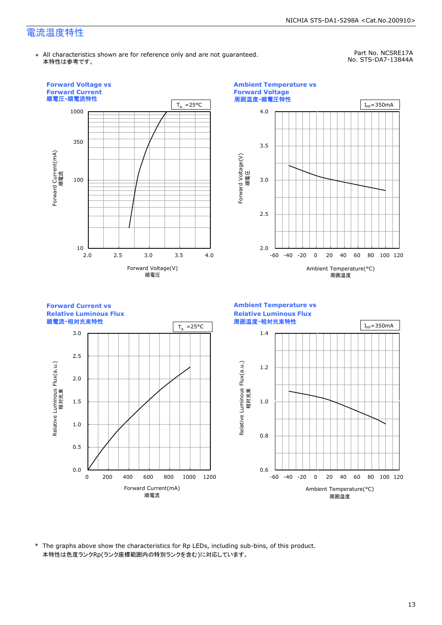\* All characteristics shown are for reference only and are not guaranteed. 本特性は参考です。

Part No. NCSRE17A No. STS-DA7-13844A



\* The graphs above show the characteristics for Rp LEDs, including sub-bins, of this product. 本特性は色度ランクRp(ランク座標範囲内の特別ランクを含む)に対応しています。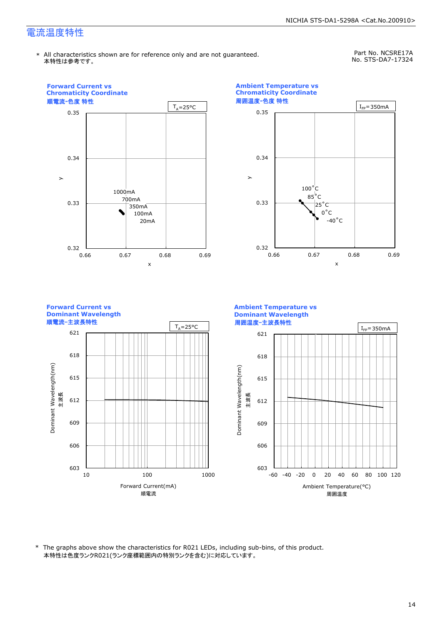\* All characteristics shown are for reference only and are not guaranteed. 本特性は参考です。

Part No. NCSRE17A No. STS-DA7-17324



\* The graphs above show the characteristics for R021 LEDs, including sub-bins, of this product. 本特性は色度ランクR021(ランク座標範囲内の特別ランクを含む)に対応しています。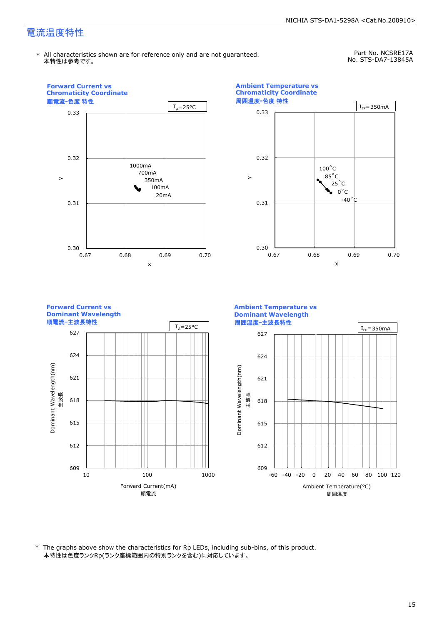\* All characteristics shown are for reference only and are not guaranteed. 本特性は参考です。

Part No. NCSRE17A No. STS-DA7-13845A



\* The graphs above show the characteristics for Rp LEDs, including sub-bins, of this product. 本特性は色度ランクRp(ランク座標範囲内の特別ランクを含む)に対応しています。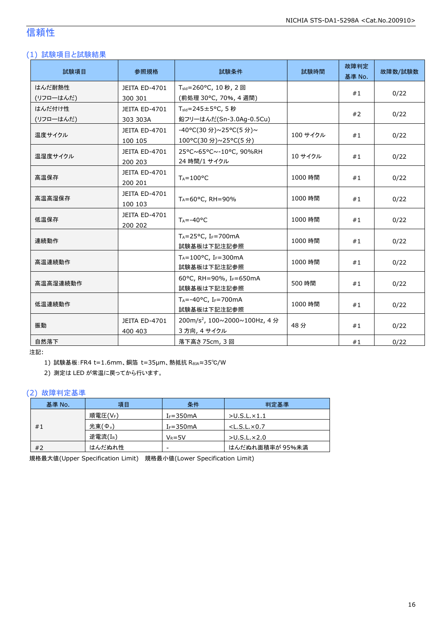### 信頼性

### (1) 試験項目と試験結果

| 試験項目      | 参照規格                     | 試験条件                                       | 試験時間     | 故障判定<br>基準 No. | 故障数/試験数 |
|-----------|--------------------------|--------------------------------------------|----------|----------------|---------|
| はんだ耐熱性    | JEITA ED-4701            | T <sub>sld</sub> =260°C, 10秒, 2回           |          | #1             | 0/22    |
| (リフローはんだ) | 300 301                  | (前処理 30℃, 70%, 4 週間)                       |          |                |         |
| はんだ付け性    | JEITA ED-4701            | $T_{\text{std}} = 245 \pm 5^{\circ}$ C, 5秒 |          | #2             | 0/22    |
| (リフローはんだ) | 303 303A                 | 鉛フリーはんだ(Sn-3.0Ag-0.5Cu)                    |          |                |         |
| 温度サイクル    | JEITA ED-4701            | -40°C(30分)~25°C(5分)~                       | 100 サイクル | #1             | 0/22    |
|           | 100 105                  | 100°C(30 分)~25°C(5 分)                      |          |                |         |
| 温湿度サイクル   | JEITA ED-4701            | 25°C~65°C~-10°C, 90%RH                     | 10 サイクル  | #1             | 0/22    |
|           | 200 203                  | 24 時間/1 サイクル                               |          |                |         |
| 高温保存      | JEITA ED-4701<br>200 201 | $T_A = 100^{\circ}C$                       | 1000 時間  | #1             | 0/22    |
|           | JEITA ED-4701            |                                            | 1000 時間  | #1             | 0/22    |
| 高温高湿保存    | 100 103                  | $T_A = 60^{\circ}$ C, RH = 90%             |          |                |         |
| 低温保存      | JEITA ED-4701            | $T_A = -40$ °C                             | 1000 時間  | #1             |         |
|           | 200 202                  |                                            |          |                | 0/22    |
| 連続動作      |                          | $T_A = 25$ °C, I <sub>F</sub> =700mA       | 1000 時間  | #1             | 0/22    |
|           |                          | 試験基板は下記注記参照                                |          |                |         |
| 高温連続動作    |                          | $T_A = 100$ °C, IF=300mA<br>試験基板は下記注記参照    | 1000 時間  | #1             | 0/22    |
| 高温高湿連続動作  |                          | 60°C, RH=90%, IF=650mA                     | 500 時間   | #1             | 0/22    |
|           |                          | 試験基板は下記注記参照                                |          |                |         |
| 低温連続動作    |                          | $T_A = -40$ °C, I <sub>F</sub> =700mA      | 1000 時間  | #1             | 0/22    |
|           |                          | 試験基板は下記注記参照                                |          |                |         |
| 振動        | JEITA ED-4701            | 200m/s <sup>2</sup> , 100~2000~100Hz, 4分   | 48分      | #1             | 0/22    |
|           | 400 403                  | 3 方向, 4 サイクル                               |          |                |         |
| 自然落下      |                          | 落下高さ 75cm, 3 回                             |          | #1             | 0/22    |

注記:

1) 試験基板:FR4 t=1.6mm、銅箔 t=35μm、熱抵抗 RθJA≈35℃/W

2) 測定は LED が常温に戻ってから行います。

#### (2) 故障判定基準

| 基準 No. | 項目                  | 条件            | 判定基準                    |
|--------|---------------------|---------------|-------------------------|
|        | 順電圧(VF)             | $I_F = 350mA$ | $>$ U.S.L. $\times$ 1.1 |
| #1     | 光束(Φ <sub>ν</sub> ) | $I_F = 350mA$ | $<$ L.S.L. $\times$ 0.7 |
|        | 逆電流(IR)             | $V_R = 5V$    | $>$ U.S.L. $\times$ 2.0 |
| #2     | はんだぬれ性              | -             | はんだぬれ面積率が 95%未満         |

規格最大値(Upper Specification Limit) 規格最小値(Lower Specification Limit)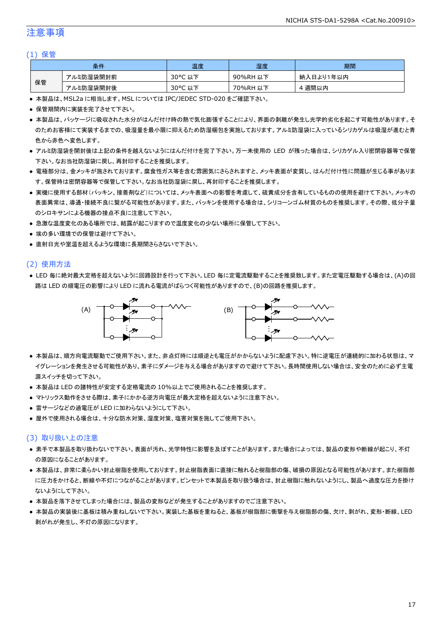### 注意事項

#### (1) 保管

|    | 条件        | 温度                    | 湿度       | 期間        |
|----|-----------|-----------------------|----------|-----------|
|    | アルミ防湿袋開封前 | $30^{\circ}$ C<br>こ以下 | 90%RH 以下 | 納入日より1年以内 |
| 保管 | アルミ防湿袋開封後 | 30°C<br>,以下<br>֊      | 70%RH 以下 | 週間以内      |

● 本製品は、MSL2a に相当します。MSL については IPC/JEDEC STD-020 をご確認下さい。

- 保管期間内に実装を完了させて下さい。
- 本製品は、パッケージに吸収された水分がはんだ付け時の熱で気化膨張することにより、界面の剥離が発生し光学的劣化を起こす可能性があります。そ のためお客様にて実装するまでの、吸湿量を最小限に抑えるため防湿梱包を実施しております。アルミ防湿袋に入っているシリカゲルは吸湿が進むと青 色から赤色へ変色します。
- アルミ防湿袋を開封後は上記の条件を越えないようにはんだ付けを完了下さい。万一未使用の LED が残った場合は、シリカゲル入り密閉容器等で保管 下さい。なお当社防湿袋に戻し、再封印することを推奨します。
- 電極部分は、金メッキが施されております。腐食性ガス等を含む雰囲気にさらされますと、メッキ表面が変質し、はんだ付け性に問題が生じる事がありま す。保管時は密閉容器等で保管して下さい。なお当社防湿袋に戻し、再封印することを推奨します。
- 実機に使用する部材(パッキン、接着剤など)については、メッキ表面への影響を考慮して、硫黄成分を含有しているものの使用を避けて下さい。メッキの 表面異常は、導通・接続不良に繋がる可能性があります。また、パッキンを使用する場合は、シリコーンゴム材質のものを推奨します。その際、低分子量 のシロキサンによる機器の接点不良に注意して下さい。
- 急激な温度変化のある場所では、結露が起こりますので温度変化の少ない場所に保管して下さい。
- 埃の多い環境での保管は避けて下さい。
- 直射日光や室温を超えるような環境に長期間さらさないで下さい。

#### (2) 使用方法

● LED 毎に絶対最大定格を超えないように回路設計を行って下さい。LED 毎に定電流駆動することを推奨致します。また定電圧駆動する場合は、(A)の回 路は LED の順電圧の影響により LED に流れる電流がばらつく可能性がありますので、(B)の回路を推奨します。



- 本製品は、順方向電流駆動でご使用下さい。また、非点灯時には順逆とも電圧がかからないように配慮下さい。特に逆電圧が連続的に加わる状態は、マ イグレーションを発生させる可能性があり、素子にダメージを与える場合がありますので避けて下さい。長時間使用しない場合は、安全のために必ず主電 源スイッチを切って下さい。
- 本製品は LED の諸特性が安定する定格電流の 10%以上でご使用されることを推奨します。
- マトリックス動作をさせる際は、素子にかかる逆方向電圧が最大定格を超えないように注意下さい。
- 雷サージなどの過電圧が LED に加わらないようにして下さい。
- 屋外で使用される場合は、十分な防水対策、湿度対策、塩害対策を施してご使用下さい。

#### (3) 取り扱い上の注意

- 素手で本製品を取り扱わないで下さい。表面が汚れ、光学特性に影響を及ぼすことがあります。また場合によっては、製品の変形や断線が起こり、不灯 の原因になることがあります。
- 本製品は、非常に柔らかい封止樹脂を使用しております。封止樹脂表面に直接に触れると樹脂部の傷、破損の原因となる可能性があります。また樹脂部 に圧力をかけると、断線や不灯につながることがあります。ピンセットで本製品を取り扱う場合は、封止樹脂に触れないようにし、製品へ過度な圧力を掛け ないようにして下さい。
- 本製品を落下させてしまった場合には、製品の変形などが発生することがありますのでご注意下さい。
- 本製品の実装後に基板は積み重ねしないで下さい。実装した基板を重ねると、基板が樹脂部に衝撃を与え樹脂部の傷、欠け、剥がれ、変形・断線、LED 剥がれが発生し、不灯の原因になります。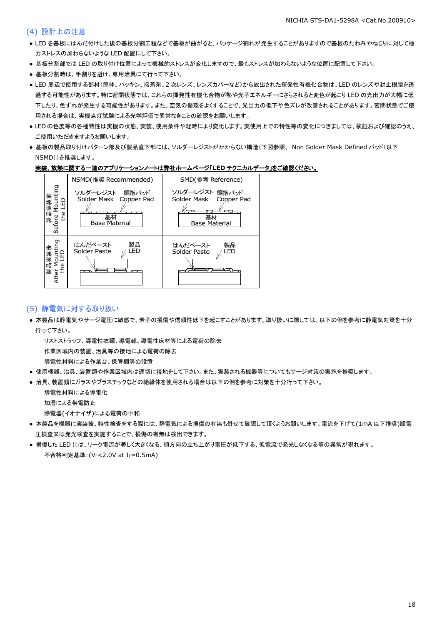#### (4) 設計上の注意

- LED を基板にはんだ付けした後の基板分割工程などで基板が曲がると、パッケージ割れが発生することがありますので基板のたわみやねじりに対して極 力ストレスの加わらないような LED 配置にして下さい。
- 基板分割部では LED の取り付け位置によって機械的ストレスが変化しますので、最もストレスが加わらないような位置に配置して下さい。
- 基板分割時は、手割りを避け、専用治具にて行って下さい。
- LED 周辺で使用する部材(筐体、パッキン、接着剤、2 次レンズ、レンズカバーなど)から放出された揮発性有機化合物は、LED のレンズや封止樹脂を透 過する可能性があります。特に密閉状態では、これらの揮発性有機化合物が熱や光子エネルギーにさらされると変色が起こり LED の光出力が大幅に低 下したり、色ずれが発生する可能性があります。また、空気の循環をよくすることで、光出力の低下や色ズレが改善されることがあります。密閉状態でご使 用される場合は、実機点灯試験による光学評価で異常なきことの確認をお願いします。
- LED の色度等の各種特性は実機の状態、実装、使用条件や経時により変化します。実使用上での特性等の変化につきましては、検証および確認のうえ、 ご使用いただきますようお願いします。
- 基板の製品取り付けパターン部及び製品直下部には、ソルダーレジストがかからない構造(下図参照、 Non Solder Mask Defined パッド(以下 NSMD))を推奨します。

#### 実装、放熱に関する一連のアプリケーションノートは弊社ホームページ「**LED** テクニカルデータ」をご確認ください。



#### (5) 静電気に対する取り扱い

● 本製品は静電気やサージ電圧に敏感で、素子の損傷や信頼性低下を起こすことがあります。取り扱いに際しては、以下の例を参考に静電気対策を十分 行って下さい。

リストストラップ、導電性衣類、導電靴、導電性床材等による電荷の除去

作業区域内の装置、治具等の接地による電荷の除去

導電性材料による作業台、保管棚等の設置

- 使用機器、治具、装置類や作業区域内は適切に接地をして下さい。また、実装される機器等についてもサージ対策の実施を推奨します。
- 治具、装置類にガラスやプラスチックなどの絶縁体を使用される場合は以下の例を参考に対策を十分行って下さい。

導電性材料による導電化

加湿による帯電防止

除電器(イオナイザ)による電荷の中和

- 本製品を機器に実装後、特性検査をする際には、静電気による損傷の有無も併せて確認して頂くようお願いします。電流を下げて(1mA 以下推奨)順電 圧検査又は発光検査を実施することで、損傷の有無は検出できます。
- 損傷した LED には、リーク電流が著しく大きくなる、順方向の立ち上がり電圧が低下する、低電流で発光しなくなる等の異常が現れます。 不合格判定基準: (VF<2.0V at IF=0.5mA)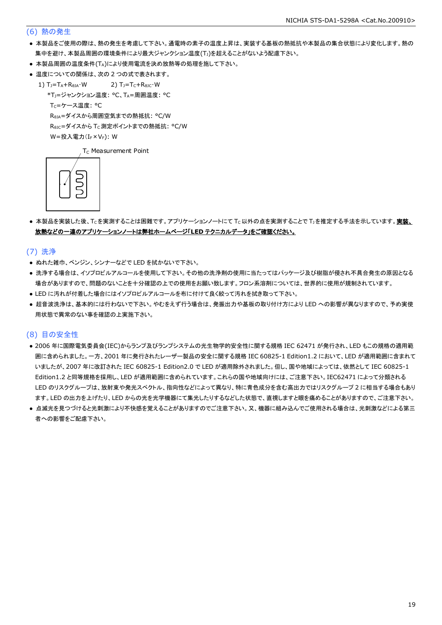#### (6) 熱の発生

- 本製品をご使用の際は、熱の発生を考慮して下さい。通電時の素子の温度上昇は、実装する基板の熱抵抗や本製品の集合状態により変化します。熱の 集中を避け、本製品周囲の環境条件により最大ジャンクション温度(Tj)を超えることがないよう配慮下さい。
- 本製品周囲の温度条件(TA)により使用電流を決め放熱等の処理を施して下さい。
- 温度についての関係は、次の2つの式で表されます。
	- 1)  $T_J = T_A + R_{\theta JA} \cdot W$  2)  $T_J = T_C + R_{\theta JC} \cdot W$ 
		- \*TJ=ジャンクション温度: °C、TA=周囲温度: °C

T<sub>C</sub>=ケース温度: °C

RθJA=ダイスから周囲空気までの熱抵抗: °C/W

ReJc=ダイスから Tc 測定ポイントまでの熱抵抗: °C/W

 $W = \frac{1}{2} \lambda \frac{1}{2} \sum_{r=1}^{n} (I_{F} \times V_{F})$ : W

T<sub>C</sub> Measurement Point



● 本製品を実装した後、Tcを実測することは困難です。アプリケーションノートにて Tc以外の点を実測することで T」を推定する手法を示しています。実装、 放熱などの一連のアプリケーションノートは弊社ホームページ「**LED** テクニカルデータ」をご確認ください。

(7) 洗浄

- ぬれた雑巾、ベンジン、シンナーなどで LED を拭かないで下さい。
- 洗浄する場合は、イソプロピルアルコールを使用して下さい。その他の洗浄剤の使用に当たってはパッケージ及び樹脂が侵され不具合発生の原因となる 場合がありますので、問題のないことを十分確認の上での使用をお願い致します。フロン系溶剤については、世界的に使用が規制されています。
- LED に汚れが付着した場合にはイソプロピルアルコールを布に付けて良く絞って汚れを拭き取って下さい。
- 超音波洗浄は、基本的には行わないで下さい。やむをえず行う場合は、発振出力や基板の取り付け方により LED への影響が異なりますので、予め実使 用状態で異常のない事を確認の上実施下さい。

#### (8) 目の安全性

- 2006 年に国際電気委員会(IEC)からランプ及びランプシステムの光生物学的安全性に関する規格 IEC 62471 が発行され、LED もこの規格の適用範 囲に含められました。一方、2001 年に発行されたレーザー製品の安全に関する規格 IEC 60825-1 Edition1.2 において、LED が適用範囲に含まれて いましたが、2007 年に改訂された IEC 60825-1 Edition2.0 で LED が適用除外されました。但し、国や地域によっては、依然として IEC 60825-1 Edition1.2 と同等規格を採用し、LED が適用範囲に含められています。これらの国や地域向けには、ご注意下さい。IEC62471 によって分類される LED のリスクグループは、放射束や発光スペクトル、指向性などによって異なり、特に青色成分を含む高出力ではリスクグループ 2 に相当する場合もあり ます。LED の出力を上げたり、LED からの光を光学機器にて集光したりするなどした状態で、直視しますと眼を痛めることがありますので、ご注意下さい。
- 点滅光を見つづけると光刺激により不快感を覚えることがありますのでご注意下さい。又、機器に組み込んでご使用される場合は、光刺激などによる第三 者への影響をご配慮下さい。